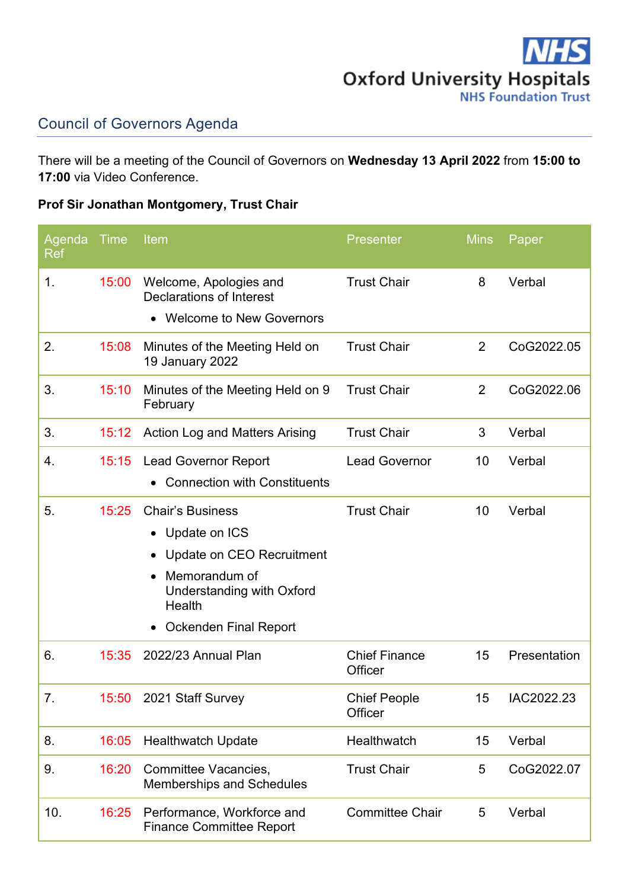

## Council of Governors Agenda

There will be a meeting of the Council of Governors on **Wednesday 13 April 2022** from **15:00 to 17:00** via Video Conference.

## **Prof Sir Jonathan Montgomery, Trust Chair**

| Agenda<br>Ref | Time  | Item                                                              | <b>Presenter</b>                | <b>Mins</b>     | Paper        |
|---------------|-------|-------------------------------------------------------------------|---------------------------------|-----------------|--------------|
| 1.            | 15:00 | Welcome, Apologies and<br><b>Declarations of Interest</b>         | <b>Trust Chair</b>              | 8               | Verbal       |
|               |       | • Welcome to New Governors                                        |                                 |                 |              |
| 2.            | 15:08 | Minutes of the Meeting Held on<br>19 January 2022                 | <b>Trust Chair</b>              | $\overline{2}$  | CoG2022.05   |
| 3.            | 15:10 | Minutes of the Meeting Held on 9<br>February                      | <b>Trust Chair</b>              | 2               | CoG2022.06   |
| 3.            | 15:12 | <b>Action Log and Matters Arising</b>                             | <b>Trust Chair</b>              | 3               | Verbal       |
| 4.            | 15:15 | <b>Lead Governor Report</b>                                       | <b>Lead Governor</b>            | 10              | Verbal       |
|               |       | <b>Connection with Constituents</b>                               |                                 |                 |              |
| 5.            | 15:25 | <b>Chair's Business</b>                                           | <b>Trust Chair</b>              | 10              | Verbal       |
|               |       | Update on ICS<br>$\bullet$                                        |                                 |                 |              |
|               |       | Update on CEO Recruitment                                         |                                 |                 |              |
|               |       | Memorandum of<br>$\bullet$<br>Understanding with Oxford<br>Health |                                 |                 |              |
|               |       | Ockenden Final Report<br>$\bullet$                                |                                 |                 |              |
| 6.            | 15:35 | 2022/23 Annual Plan                                               | <b>Chief Finance</b><br>Officer | 15              | Presentation |
| 7.            |       | 15:50 2021 Staff Survey                                           | <b>Chief People</b><br>Officer  | 15 <sup>7</sup> | IAC2022.23   |
| 8.            | 16:05 | <b>Healthwatch Update</b>                                         | Healthwatch                     | 15              | Verbal       |
| 9.            | 16:20 | <b>Committee Vacancies,</b><br><b>Memberships and Schedules</b>   | <b>Trust Chair</b>              | 5               | CoG2022.07   |
| 10.           | 16:25 | Performance, Workforce and<br><b>Finance Committee Report</b>     | <b>Committee Chair</b>          | 5               | Verbal       |